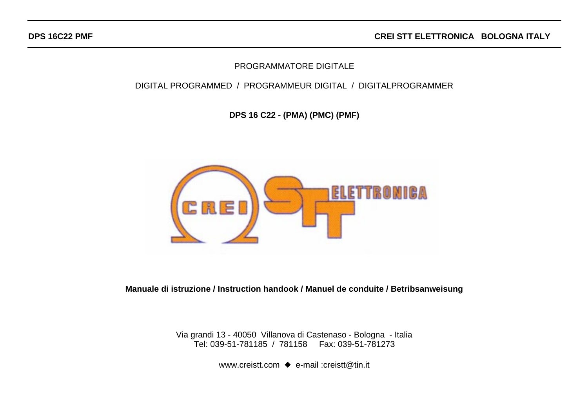**CREI STT ELETTRONICA BOLOGNA ITALY**

## PROGRAMMATORE DIGITALE

### DIGITAL PROGRAMMED / PROGRAMMEUR DIGITAL / DIGITALPROGRAMMER

**DPS 16 C22 - (PMA) (PMC) (PMF)**



**Manuale di istruzione / Instruction handook / Manuel de conduite / Betribsanweisung**

Via grandi 13 - 40050 Villanova di Castenaso - Bologna - Italia Tel: 039-51-781185 / 781158 Fax: 039-51-781273

www.creistt.com ♦ e-mail :creistt@tin.it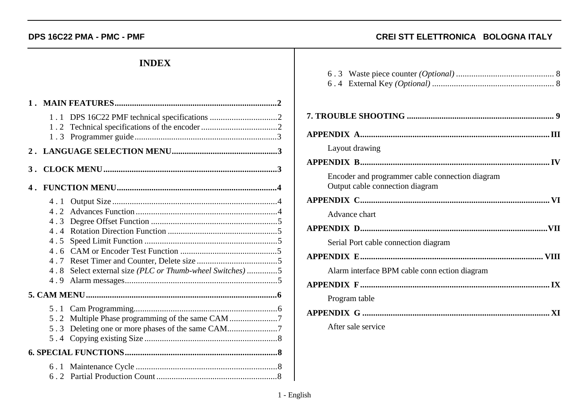## **INDEX**

| 1.3                                                       |                                                     |  |
|-----------------------------------------------------------|-----------------------------------------------------|--|
|                                                           |                                                     |  |
|                                                           |                                                     |  |
|                                                           |                                                     |  |
| 4.1<br>4.2<br>4.3<br>$4\;\;4$<br>4.5<br>4.7<br>4.8<br>4.9 | Select external size (PLC or Thumb-wheel Switches)5 |  |
|                                                           |                                                     |  |
|                                                           | 5.2 Multiple Phase programming of the same CAM 7    |  |
|                                                           |                                                     |  |

### **DPS 16C22 PMA - PMC - PMF CREI STT ELETTRONICA BOLOGNA ITALY**

| Layout drawing                                                                     |
|------------------------------------------------------------------------------------|
|                                                                                    |
| Encoder and programmer cable connection diagram<br>Output cable connection diagram |
|                                                                                    |
| Advance chart                                                                      |
|                                                                                    |
| Serial Port cable connection diagram                                               |
|                                                                                    |
| Alarm interface BPM cable connection diagram                                       |
|                                                                                    |
| Program table                                                                      |
|                                                                                    |
| After sale service                                                                 |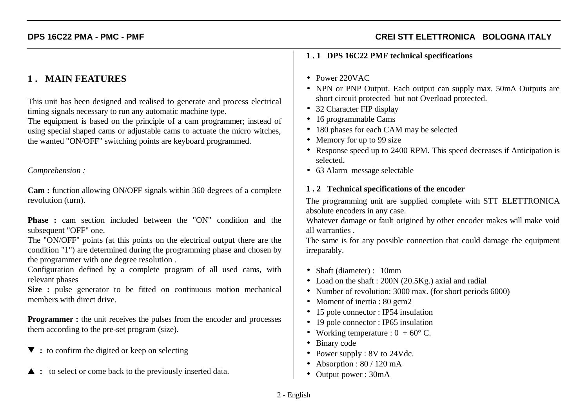# **1 . MAIN FEATURES**

This unit has been designed and realised to generate and process electrical timing signals necessary to run any automatic machine type.

The equipment is based on the principle of a cam programmer; instead of using special shaped cams or adjustable cams to actuate the micro witches, the wanted "ON/OFF" switching points are keyboard programmed.

### *Comprehension :*

**Cam :** function allowing ON/OFF signals within 360 degrees of a complete revolution (turn).

**Phase :** cam section included between the "ON" condition and the subsequent "OFF" one.

The "ON/OFF" points (at this points on the electrical output there are the condition "1") are determined during the programming phase and chosen by the programmer with one degree resolution .

Configuration defined by a complete program of all used cams, with relevant phases

**Size :** pulse generator to be fitted on continuous motion mechanical members with direct drive.

**Programmer :** the unit receives the pulses from the encoder and processes them according to the pre-set program (size).

- ▼ : to confirm the digited or keep on selecting
- $\triangle$ **:** to select or come back to the previously inserted data.

### **1 . 1 DPS 16C22 PMF technical specifications**

- Power 220VAC
- NPN or PNP Output. Each output can supply max. 50mA Outputs are short circuit protected but not Overload protected.
- 32 Character FIP display
- 16 programmable Cams
- 180 phases for each CAM may be selected
- Memory for up to 99 size
- Response speed up to 2400 RPM. This speed decreases if Anticipation is selected.
- 63 Alarm message selectable

### **1 . 2 Technical specifications of the encoder**

The programming unit are supplied complete with STT ELETTRONICA absolute encoders in any case.

Whatever damage or fault origined by other encoder makes will make void all warranties .

The same is for any possible connection that could damage the equipment irreparably.

- Shaft (diameter) : 10mm
- Load on the shaft : 200N (20.5Kg.) axial and radial
- Number of revolution: 3000 max. (for short periods 6000)
- Moment of inertia : 80 gcm2
- 15 pole connector : IP54 insulation
- 19 pole connector : IP65 insulation
- Working temperature :  $0 + 60^{\circ}$  C.
- Binary code
- Power supply : 8V to 24Vdc.
- Absorption : 80 / 120 mA
- Output power : 30mA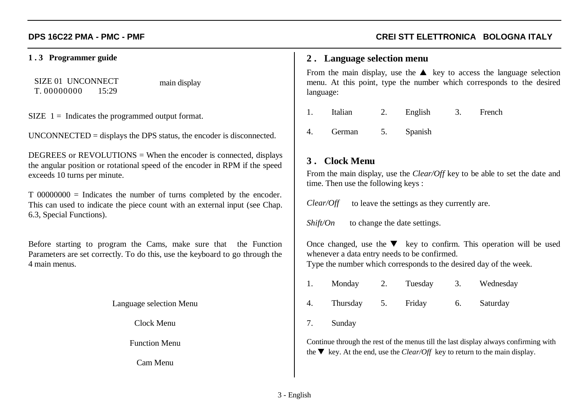### **1 . 3 Programmer guide**

SIZE 01 UNCONNECTT. 00000000 15:29

main display

 $SIZE$  1 = Indicates the programmed output format.

UNCONNECTED = displays the DPS status, the encoder is disconnected.

DEGREES or  $REVOLUTIONS = When the encoder is connected, displays$ the angular position or rotational speed of the encoder in RPM if the speed exceeds 10 turns per minute.

T 00000000 = Indicates the number of turns completed by the encoder. This can used to indicate the piece count with an external input (see Chap. 6.3, Special Functions).

Before starting to program the Cams, make sure that the Function Parameters are set correctly. To do this, use the keyboard to go through the 4 main menus.

Language selection Menu

Clock Menu

Function Menu

Cam Menu

## **DPS 16C22 PMA - PMC - PMF CREI STT ELETTRONICA BOLOGNA ITALY**

### **2 . Language selection menu**

From the main display, use the  $\triangle$  key to access the language selection menu. At this point, type the number which corresponds to the desired language:

- 1. Italian 2. English 3. French
- 4. German 5. Spanish

## **3 . Clock Menu**

From the main display, use the *Clear/Off* key to be able to set the date and time. Then use the following keys :

*Clear/Off* to leave the settings as they currently are.

*Shift/On* to change the date settings.

Once changed, use the  $\nabla$  key to confirm. This operation will be used whenever a data entry needs to be confirmed.

Type the number which corresponds to the desired day of the week.

1. Monday 2. Tuesday 3. Wednesday 4. Thursday 5. Friday 6. Saturday

7. Sunday

Continue through the rest of the menus till the last display always confirming with the  $\nabla$  key. At the end, use the *Clear/Off* key to return to the main display.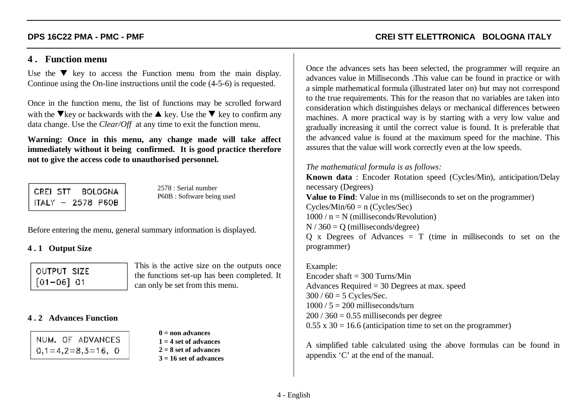## **4 . Function menu**

Use the  $\nabla$  key to access the Function menu from the main display. Continue using the On-line instructions until the code (4-5-6) is requested.

Once in the function menu, the list of functions may be scrolled forward with the  $\nabla$  key or backwards with the  $\blacktriangle$  key. Use the  $\nabla$  key to confirm any data change. Use the *Clear/Off* at any time to exit the function menu.

**Warning: Once in this menu, any change made will take affect immediately without it being confirmed. It is good practice therefore not to give the access code to unauthorised personnel.**

CREI STT **BOLOGNA** ITALY - 2578 P60B

2578 : Serial numberP60B : Software being used

Before entering the menu, general summary information is displayed.

### **4 . 1 Output Size**

| OUTPUT SIZE    |  |
|----------------|--|
| $[01 - 06]$ 01 |  |

This is the active size on the outputs once the functions set-up has been completed. It can only be set from this menu.

### **4 . 2 Advances Function**

|  | NUM. OF ADVANCES   |  |
|--|--------------------|--|
|  | $0,1=4,2=8,3=16,0$ |  |

**0 = non advances1 = 4 set of advances2 = 8 set of advances3 = 16 set of advances**

## **DPS 16C22 PMA - PMC - PMF CREI STT ELETTRONICA BOLOGNA ITALY**

Once the advances sets has been selected, the programmer will require an advances value in Milliseconds .This value can be found in practice or with a simple mathematical formula (illustrated later on) but may not correspond to the true requirements. This for the reason that no variables are taken into consideration which distinguishes delays or mechanical differences between machines. A more practical way is by starting with a very low value and gradually increasing it until the correct value is found. It is preferable that the advanced value is found at the maximum speed for the machine. This assures that the value will work correctly even at the low speeds.

### *The mathematical formula is as follows:*

**Known data** : Encoder Rotation speed (Cycles/Min), anticipation/Delay necessary (Degrees) **Value to Find**: Value in ms (milliseconds to set on the programmer)  $Cycles/Min/60 = n (Cycles/Sec)$  $1000 / n = N$  (milliseconds/Revolution)  $N / 360 = O$  (milliseconds/degree)  $Q \times D$  Degrees of Advances = T (time in milliseconds to set on the programmer)

Example: Encoder shaft  $=$  300 Turns/Min Advances Required = 30 Degrees at max. speed  $300 / 60 = 5$  Cycles/Sec.  $1000 / 5 = 200$  milliseconds/turn  $200 / 360 = 0.55$  milliseconds per degree  $0.55 \times 30 = 16.6$  (anticipation time to set on the programmer)

A simplified table calculated using the above formulas can be found in appendix 'C' at the end of the manual.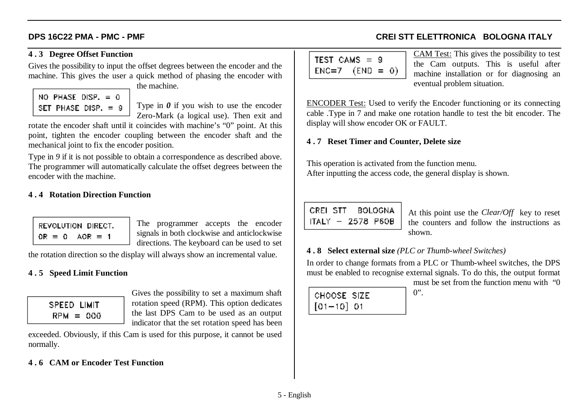### **4 . 3 Degree Offset Function**

Gives the possibility to input the offset degrees between the encoder and the machine. This gives the user a quick method of phasing the encoder with the machine.

| NO PHASE DISP. = 0    |  |
|-----------------------|--|
| SET PHASE DISP, $= 9$ |  |

Type in *0* if you wish to use the encoder Zero-Mark (a logical use). Then exit and

rotate the encoder shaft until it coincides with machine's "0" point. At this point, tighten the encoder coupling between the encoder shaft and the mechanical joint to fix the encoder position.

Type in 9 if it is not possible to obtain a correspondence as described above. The programmer will automatically calculate the offset degrees between the encoder with the machine.

## **4 . 4 Rotation Direction Function**

REVOLUTION DIRECT.  $OR = 0$   $AOR = 1$ 

The programmer accepts the encoder signals in both clockwise and anticlockwise directions. The keyboard can be used to set

the rotation direction so the display will always show an incremental value.

## **4 . 5 Speed Limit Function**

| SPEED LIMIT |  |
|-------------|--|
| $RPM = 000$ |  |

Gives the possibility to set a maximum shaft rotation speed (RPM). This option dedicates the last DPS Cam to be used as an output indicator that the set rotation speed has been

exceeded. Obviously, if this Cam is used for this purpose, it cannot be used normally.

# **4 . 6 CAM or Encoder Test Function**

| TEST CAMS = 9       |  |  |
|---------------------|--|--|
| $ $ ENC=7 (END = 0) |  |  |

CAM Test: This gives the possibility to test the Cam outputs. This is useful after machine installation or for diagnosing an eventual problem situation.

ENCODER Test: Used to verify the Encoder functioning or its connecting cable .Type in 7 and make one rotation handle to test the bit encoder. The display will show encoder OK or FAULT.

## **4 . 7 Reset Timer and Counter, Delete size**

This operation is activated from the function menu. After inputting the access code, the general display is shown.

CREL STT ROLOGNA ITALY - 2578 P60B

At this point use the *Clear/Off* key to reset the counters and follow the instructions asshown.

## **4 . 8 Select external size** *(PLC or Thumb-wheel Switches)*

In order to change formats from a PLC or Thumb-wheel switches, the DPS must be enabled to recognise external signals. To do this, the output format

| CHOOSE SIZE  |  |
|--------------|--|
| $[01-10]$ 01 |  |

must be set from the function menu with "0 $0"$ .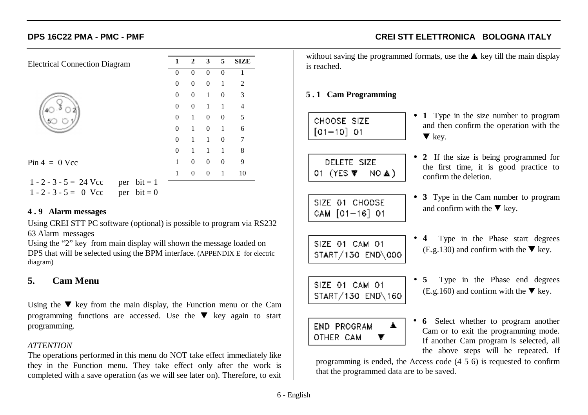| <b>Electrical Connection Diagram</b>                                                  | 1              | $\overline{2}$   | $\mathbf{3}$   | $\overline{5}$ | <b>SIZE</b>    |
|---------------------------------------------------------------------------------------|----------------|------------------|----------------|----------------|----------------|
|                                                                                       | $\theta$       | $\theta$         | $\theta$       | $\theta$       | 1              |
|                                                                                       | $\overline{0}$ | $\mathbf{0}$     | $\mathbf{0}$   | 1              | $\overline{2}$ |
|                                                                                       | $\overline{0}$ | $\mathbf{0}$     | -1             | $\theta$       | 3              |
|                                                                                       | $\Omega$       | $\mathbf{0}$     | $\mathbf{1}$   | -1             | $\overline{4}$ |
|                                                                                       | $\overline{0}$ | 1                | $\mathbf{0}$   | $\theta$       | 5              |
|                                                                                       | $\overline{0}$ | 1                | $\overline{0}$ | 1              | 6              |
|                                                                                       | $\Omega$       | 1                | $\mathbf{1}$   | $\mathbf{0}$   | 7              |
|                                                                                       | $\theta$       | 1                | 1              | 1              | 8              |
| $Pin 4 = 0$ Vcc                                                                       | 1              | $\mathbf{0}$     | $\overline{0}$ | $\mathbf{0}$   | 9              |
|                                                                                       | 1              | $\boldsymbol{0}$ | $\Omega$       | 1              | 10             |
| $1 - 2 - 3 - 5 = 24$ Vcc<br>per $bit = 1$<br>per $bit = 0$<br>$1 - 2 - 3 - 5 = 0$ Vcc |                |                  |                |                |                |

### **4 . 9 Alarm messages**

Using CREI STT PC software (optional) is possible to program via RS232 63 Alarm messages

Using the "2" key from main display will shown the message loaded on DPS that will be selected using the BPM interface. (APPENDIX E for electric diagram)

# **5. Cam Menu**

Using the  $\nabla$  key from the main display, the Function menu or the Cam programming functions are accessed. Use the  $\nabla$  key again to start programming.

### *ATTENTION*

The operations performed in this menu do NOT take effect immediately like they in the Function menu. They take effect only after the work is completed with a save operation (as we will see later on). Therefore, to exit

**DPS 16C22 PMA - PMC - PMF CREI STT ELETTRONICA BOLOGNA ITALY**

• **1** Type in the size number to program and then confirm the operation with the

• **2** If the size is being programmed for the first time, it is good practice to

• **3** Type in the Cam number to program

• **4** Type in the Phase start degrees (E.g.130) and confirm with the  $\nabla$  key.

• **5** Type in the Phase end degrees (E.g.160) and confirm with the  $\nabla$  key.

and confirm with the  $\nabla$  key.

without saving the programmed formats, use the  $\triangle$  key till the main display is reached.

 $\blacktriangledown$  key.

confirm the deletion.

## **5 . 1 Cam Programming**

| CHOOSE SIZE    |  |
|----------------|--|
| $[01 - 10]$ 01 |  |

DELETE SIZE 01 (YES W NO A)

SIZE 01 CHOOSE CAM  $[01 - 16]$  01

SIZE 01 CAM 01 START/130 END\000

SIZE 01 CAM 01 START/130 END\160

END PROGRAM OTHER CAM ▼ • **6** Select whether to program another Cam or to exit the programming mode. If another Cam program is selected, all the above steps will be repeated. If

programming is ended, the Access code (4 5 6) is requested to confirm that the programmed data are to be saved.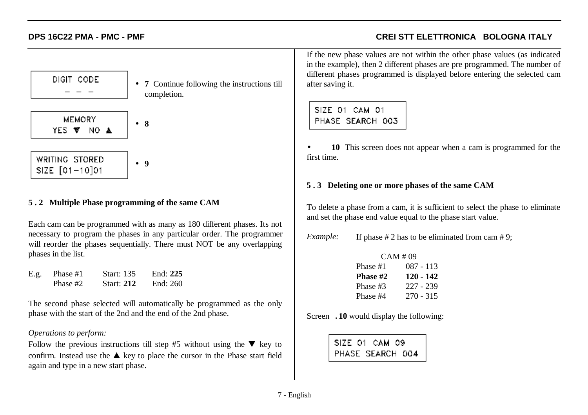DIGIT CODE **MEMORY** • **8**YES V NO A

• **7** Continue following the instructions till completion.

WRITING STORED **9**• SIZE [01-10]01

## **5 . 2 Multiple Phase programming of the same CAM**

Each cam can be programmed with as many as 180 different phases. Its not necessary to program the phases in any particular order. The programmer will reorder the phases sequentially. There must NOT be any overlapping phases in the list.

| E.g. | Phase #1 | <b>Start:</b> 135 | End: $225$ |
|------|----------|-------------------|------------|
|      | Phase #2 | <b>Start: 212</b> | End: 260   |

The second phase selected will automatically be programmed as the only phase with the start of the 2nd and the end of the 2nd phase.

### *Operations to perform:*

Follow the previous instructions till step #5 without using the  $\blacktriangledown$  key to confirm. Instead use the  $\triangle$  key to place the cursor in the Phase start field again and type in a new start phase.

If the new phase values are not within the other phase values (as indicated in the example), then 2 different phases are pre programmed. The number of different phases programmed is displayed before entering the selected cam after saving it.

# SIZE 01 CAM 01 PHASE SEARCH 003

• **10** This screen does not appear when a cam is programmed for the first time.

### **5 . 3 Deleting one or more phases of the same CAM**

To delete a phase from a cam, it is sufficient to select the phase to eliminate and set the phase end value equal to the phase start value.

*Example:* If phase # 2 has to be eliminated from cam # 9;

| CAM #09  |             |  |  |  |  |  |  |  |  |  |  |
|----------|-------------|--|--|--|--|--|--|--|--|--|--|
| Phase #1 | $087 - 113$ |  |  |  |  |  |  |  |  |  |  |
| Phase #2 | $120 - 142$ |  |  |  |  |  |  |  |  |  |  |
| Phase #3 | 227 - 239   |  |  |  |  |  |  |  |  |  |  |
| Phase #4 | $270 - 315$ |  |  |  |  |  |  |  |  |  |  |

Screen .**10** would display the following:

|  | SIZE 01 CAM 09   |  |
|--|------------------|--|
|  | PHASE SEARCH 004 |  |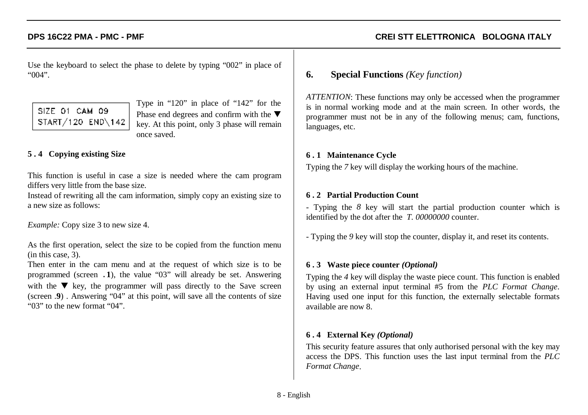Use the keyboard to select the phase to delete by typing "002" in place of "004".

# SIZE 01 CAM 09 START/120 END\142

Type in "120" in place of "142" for the Phase end degrees and confirm with the  $\blacktriangledown$ key. At this point, only 3 phase will remain once saved.

# **5 . 4 Copying existing Size**

This function is useful in case a size is needed where the cam program differs very little from the base size.

Instead of rewriting all the cam information, simply copy an existing size to a new size as follows:

*Example:* Copy size 3 to new size 4.

As the first operation, select the size to be copied from the function menu (in this case, 3).

Then enter in the cam menu and at the request of which size is to be programmed (screen .**1**), the value "03" will already be set. Answering with the  $\nabla$  key, the programmer will pass directly to the Save screen (screen . **9**) . Answering "04" at this point, will save all the contents of size "03" to the new format "04".

# **6. Special Functions** *(Key function)*

*ATTENTION*: These functions may only be accessed when the programmer is in normal working mode and at the main screen. In other words, the programmer must not be in any of the following menus; cam, functions, languages, etc.

### **6 . 1 Maintenance Cycle**

Typing the *7* key will display the working hours of the machine.

### **6 . 2 Partial Production Count**

- Typing the *8* key will start the partial production counter which is identified by the dot after the *T. 00000000* counter.

- Typing the *9* key will stop the counter, display it, and reset its contents.

### **6 . 3 Waste piece counter** *(Optional)*

Typing the *4* key will display the waste piece count. This function is enabled by using an external input terminal #5 from the *PLC Format Change*. Having used one input for this function, the externally selectable formats available are now 8.

### **6 . 4 External Key** *(Optional)*

This security feature assures that only authorised personal with the key may access the DPS. This function uses the last input terminal from the *PLC Format Change*.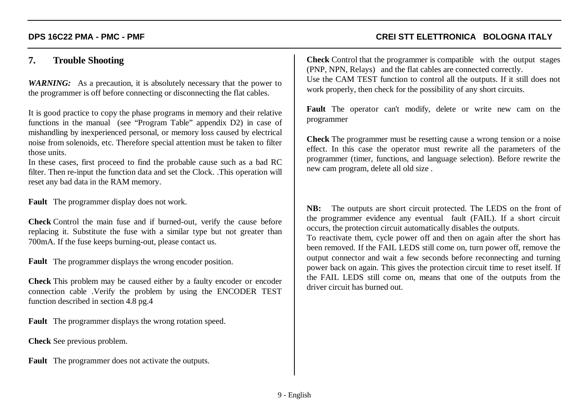# **7. Trouble Shooting**

*WARNING:* As a precaution, it is absolutely necessary that the power to the programmer is off before connecting or disconnecting the flat cables.

It is good practice to copy the phase programs in memory and their relative functions in the manual (see "Program Table" appendix D2) in case of mishandling by inexperienced personal, or memory loss caused by electrical noise from solenoids, etc. Therefore special attention must be taken to filter those units.

In these cases, first proceed to find the probable cause such as a bad RC filter. Then re-input the function data and set the Clock. .This operation will reset any bad data in the RAM memory.

**Fault** The programmer display does not work.

**Check** Control the main fuse and if burned-out, verify the cause before replacing it. Substitute the fuse with a similar type but not greater than 700mA. If the fuse keeps burning-out, please contact us.

**Fault** The programmer displays the wrong encoder position.

**Check** This problem may be caused either by a faulty encoder or encoder connection cable .Verify the problem by using the ENCODER TEST function described in section 4.8 pg.4

**Fault** The programmer displays the wrong rotation speed.

**Check** See previous problem.

**Fault** The programmer does not activate the outputs.

**Check** Control that the programmer is compatible with the output stages (PNP, NPN, Relays) and the flat cables are connected correctly. Use the CAM TEST function to control all the outputs. If it still does not work properly, then check for the possibility of any short circuits.

**Fault** The operator can't modify, delete or write new cam on the programmer

**Check** The programmer must be resetting cause a wrong tension or a noise effect. In this case the operator must rewrite all the parameters of the programmer (timer, functions, and language selection). Before rewrite the new cam program, delete all old size .

**NB:** The outputs are short circuit protected. The LEDS on the front of the programmer evidence any eventual fault (FAIL). If a short circuit occurs, the protection circuit automatically disables the outputs.

To reactivate them, cycle power off and then on again after the short has been removed. If the FAIL LEDS still come on, turn power off, remove the output connector and wait a few seconds before reconnecting and turning power back on again. This gives the protection circuit time to reset itself. If the FAIL LEDS still come on, means that one of the outputs from the driver circuit has burned out.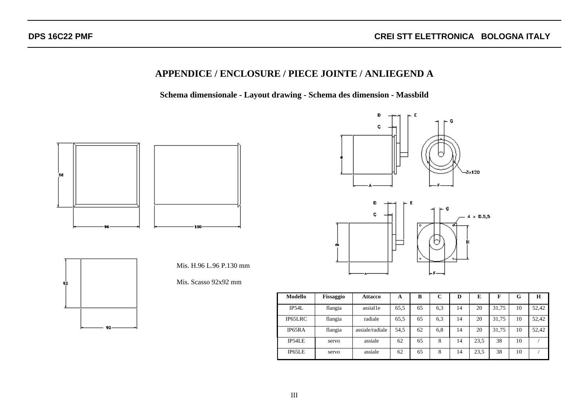23,5 38 10 /

# **APPENDICE / ENCLOSURE / PIECE JOINTE / ANLIEGEND A**

**Schema dimensionale - Layout drawing - Schema des dimension - Massbild**



IP65LE servo assiale 62 65 8 14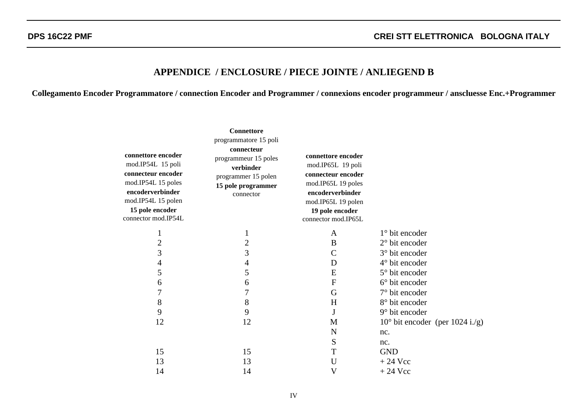## **APPENDICE / ENCLOSURE / PIECE JOINTE / ANLIEGEND B**

**Collegamento Encoder Programmatore / connection Encoder and Programmer / connexions encoder programmeur / anscluesse Enc.+Programmer**

|                                                                                                        | <b>Connettore</b>                                                                               |                                                                                                        |                                          |
|--------------------------------------------------------------------------------------------------------|-------------------------------------------------------------------------------------------------|--------------------------------------------------------------------------------------------------------|------------------------------------------|
| connettore encoder<br>mod.IP54L 15 poli<br>connecteur encoder                                          | programmatore 15 poli<br>connecteur<br>programmeur 15 poles<br>verbinder<br>programmer 15 polen | connettore encoder<br>mod.IP65L 19 poli<br>connecteur encoder                                          |                                          |
| mod.IP54L 15 poles<br>encoderverbinder<br>mod.IP54L 15 polen<br>15 pole encoder<br>connector mod.IP54L | 15 pole programmer<br>connector                                                                 | mod.IP65L 19 poles<br>encoderverbinder<br>mod.IP65L 19 polen<br>19 pole encoder<br>connector mod.IP65L |                                          |
| $\mathbf{1}$                                                                                           | $\mathbf{1}$                                                                                    | A                                                                                                      | $1^\circ$ bit encoder                    |
| $\overline{2}$                                                                                         | $\overline{2}$                                                                                  | B                                                                                                      | $2^{\circ}$ bit encoder                  |
| 3                                                                                                      | 3                                                                                               | $\mathsf{C}$                                                                                           | 3° bit encoder                           |
| $\overline{4}$                                                                                         | 4                                                                                               | D                                                                                                      | $4^\circ$ bit encoder                    |
| 5                                                                                                      | 5                                                                                               | E                                                                                                      | 5° bit encoder                           |
| 6                                                                                                      | 6                                                                                               | ${\bf F}$                                                                                              | $6^\circ$ bit encoder                    |
| 7                                                                                                      | 7                                                                                               | G                                                                                                      | $7°$ bit encoder                         |
| 8                                                                                                      | 8                                                                                               | H                                                                                                      | 8° bit encoder                           |
| 9                                                                                                      | 9                                                                                               | J                                                                                                      | $9°$ bit encoder                         |
| 12                                                                                                     | 12                                                                                              | M                                                                                                      | $10^{\circ}$ bit encoder (per 1024 i./g) |
|                                                                                                        |                                                                                                 | N                                                                                                      | nc.                                      |
|                                                                                                        |                                                                                                 | S                                                                                                      | nc.                                      |
| 15                                                                                                     | 15                                                                                              | T                                                                                                      | <b>GND</b>                               |
| 13                                                                                                     | 13                                                                                              | U                                                                                                      | $+24$ Vcc                                |
| 14                                                                                                     | 14                                                                                              | $\mathbf V$                                                                                            | $+24$ Vcc                                |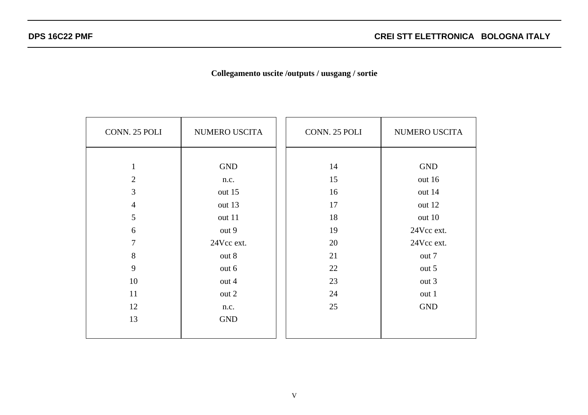# **Collegamento uscite /outputs / uusgang / sortie**

| CONN. 25 POLI  | NUMERO USCITA | CONN. 25 POLI | NUMERO USCITA |
|----------------|---------------|---------------|---------------|
|                |               |               |               |
| $\mathbf{1}$   | <b>GND</b>    | 14            | <b>GND</b>    |
| $\overline{2}$ | n.c.          | 15            | out 16        |
| 3              | out 15        | 16            | out 14        |
| $\overline{4}$ | out 13        | 17            | out 12        |
| 5              | out 11        | 18            | out 10        |
| 6              | out 9         | 19            | 24Vcc ext.    |
| $\overline{7}$ | 24Vcc ext.    | 20            | 24Vcc ext.    |
| 8              | out 8         | 21            | out 7         |
| 9              | out 6         | 22            | out 5         |
| 10             | out 4         | 23            | out 3         |
| 11             | out 2         | 24            | out 1         |
| 12             | n.c.          | 25            | <b>GND</b>    |
| 13             | <b>GND</b>    |               |               |
|                |               |               |               |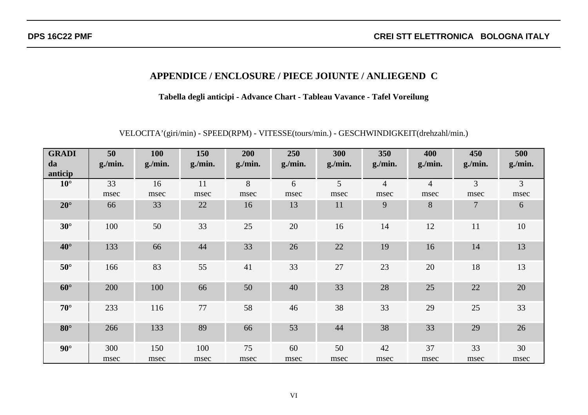# **APPENDICE / ENCLOSURE / PIECE JOIUNTE / ANLIEGEND C**

**Tabella degli anticipi - Advance Chart - Tableau Vavance - Tafel Voreilung**

VELOCITA'(giri/min) - SPEED(RPM) - VITESSE(tours/min.) - GESCHWINDIGKEIT(drehzahl/min.)

| <b>GRADI</b><br>da | 50<br>g./min. | <b>100</b><br>g/min. | 150<br>g/min. | 200<br>g/min. | 250<br>g/min. | 300<br>g/min. | 350<br>g/min.  | 400<br>g/min.  | 450<br>g/min. | 500<br>g/min. |
|--------------------|---------------|----------------------|---------------|---------------|---------------|---------------|----------------|----------------|---------------|---------------|
| anticip            |               |                      |               |               |               |               |                |                |               |               |
| $10^{\circ}$       | 33            | 16                   | 11            | 8             | 6             | 5             | $\overline{4}$ | $\overline{4}$ | 3             | 3             |
|                    | msec          | msec                 | msec          | msec          | msec          | msec          | msec           | msec           | msec          | msec          |
| $20^{\circ}$       | 66            | 33                   | 22            | 16            | 13            | 11            | 9              | 8              | 7             | 6             |
| $30^\circ$         | 100           | 50                   | 33            | 25            | 20            | 16            | 14             | 12             | 11            | 10            |
| $40^{\circ}$       | 133           | 66                   | 44            | 33            | 26            | 22            | 19             | 16             | 14            | 13            |
| $50^\circ$         | 166           | 83                   | 55            | 41            | 33            | 27            | 23             | 20             | 18            | 13            |
| $60^\circ$         | 200           | 100                  | 66            | 50            | 40            | 33            | 28             | 25             | 22            | 20            |
| $70^{\circ}$       | 233           | 116                  | 77            | 58            | 46            | 38            | 33             | 29             | 25            | 33            |
| $80^\circ$         | 266           | 133                  | 89            | 66            | 53            | 44            | 38             | 33             | 29            | 26            |
| $90^\circ$         | 300           | 150                  | 100           | 75            | 60            | 50            | 42             | 37             | 33            | 30            |
|                    | msec          | msec                 | msec          | msec          | msec          | msec          | msec           | msec           | msec          | msec          |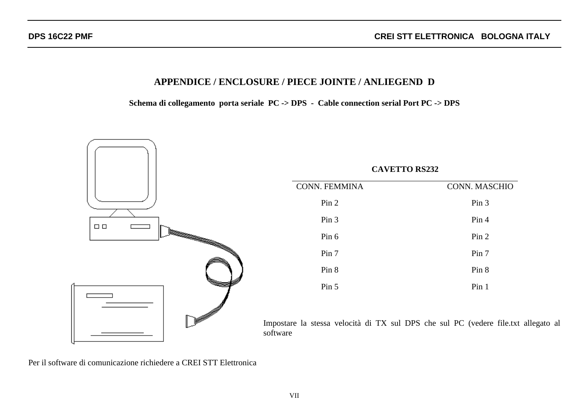# **APPENDICE / ENCLOSURE / PIECE JOINTE / ANLIEGEND D**

**Schema di collegamento porta seriale PC -> DPS - Cable connection serial Port PC -> DPS**



Per il software di comunicazione richiedere a CREI STT Elettronica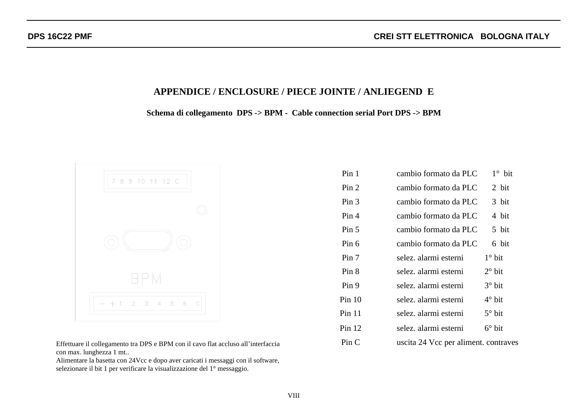## **APPENDICE / ENCLOSURE / PIECE JOINTE / ANLIEGEND E**

**Schema di collegamento DPS -> BPM - Cable connection serial Port DPS -> BPM**



Effettuare il collegamento tra DPS e BPM con il cavo flat accluso all'interfaccia Pin C uscita 24 Vcc per aliment. contraves con max. lunghezza 1 mt..

Alimentare la basetta con 24Vcc e dopo aver caricati i messaggi con il software, selezionare il bit 1 per verificare la visualizzazione del 1° messaggio.

| Pin <sub>1</sub>       | cambio formato da PLC               | $1^\circ$ bit   |
|------------------------|-------------------------------------|-----------------|
| Pin <sub>2</sub>       | cambio formato da PLC               | 2 bit           |
| Pin 3                  | cambio formato da PLC               | 3 bit           |
| Pin <sub>4</sub>       | cambio formato da PLC               | 4 bit           |
| Pin 5                  | cambio formato da PLC               | 5 bit           |
| Pin 6                  | cambio formato da PLC               | 6 bit           |
| Pin 7                  | selez. alarmi esterni               | $1^\circ$ bit   |
| Pin 8                  | selez. alarmi esterni               | $2^{\circ}$ bit |
| Pin 9                  | selez. alarmi esterni               | $3^\circ$ bit   |
| Pin 10                 | selez. alarmi esterni               | $4^\circ$ bit   |
| Pin 11                 | selez. alarmi esterni               | $5^\circ$ bit   |
| Pin 12                 | selez. alarmi esterni               | $6^\circ$ bit   |
| $\operatorname{Pin} C$ | uscita 24 Vcc per aliment contraves |                 |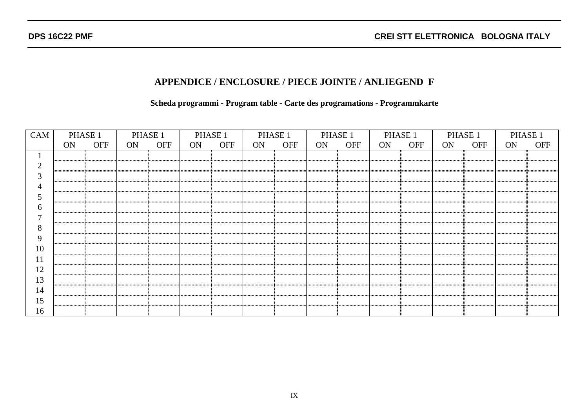# **APPENDICE / ENCLOSURE / PIECE JOINTE / ANLIEGEND F**

**Scheda programmi - Program table - Carte des programations - Programmkarte**

| <b>CAM</b> | PHASE <sub>1</sub> |            | PHASE 1 |            | PHASE 1 |            | PHASE 1 |            | PHASE 1   |            |    | PHASE 1    | PHASE 1 |            | PHASE <sup>1</sup> |     |
|------------|--------------------|------------|---------|------------|---------|------------|---------|------------|-----------|------------|----|------------|---------|------------|--------------------|-----|
|            | ON                 | <b>OFF</b> | ON      | <b>OFF</b> | ON      | <b>OFF</b> | ON      | <b>OFF</b> | <b>ON</b> | <b>OFF</b> | ON | <b>OFF</b> | ON.     | <b>OFF</b> | ON                 | OFF |
|            |                    |            |         |            |         |            |         |            |           |            |    |            |         |            |                    |     |
|            |                    |            |         |            |         |            |         |            |           |            |    |            |         |            |                    |     |
|            |                    |            |         |            |         |            |         |            |           |            |    |            |         |            |                    |     |
|            |                    |            |         |            |         |            |         |            |           |            |    |            |         |            |                    |     |
|            |                    |            |         |            |         |            |         |            |           |            |    |            |         |            |                    |     |
|            |                    |            |         |            |         |            |         |            |           |            |    |            |         |            |                    |     |
|            |                    |            |         |            |         |            |         |            |           |            |    |            |         |            |                    |     |
| ◠          |                    |            |         |            |         |            |         |            |           |            |    |            |         |            |                    |     |
|            |                    |            |         |            |         |            |         |            |           |            |    |            |         |            |                    |     |
| 10         |                    |            |         |            |         |            |         |            |           |            |    |            |         |            |                    |     |
|            |                    |            |         |            |         |            |         |            |           |            |    |            |         |            |                    |     |
| 12         |                    |            |         |            |         |            |         |            |           |            |    |            |         |            |                    |     |
| 13         |                    |            |         |            |         |            |         |            |           |            |    |            |         |            |                    |     |
| 14         |                    |            |         |            |         |            |         |            |           |            |    |            |         |            |                    |     |
|            |                    |            |         |            |         |            |         |            |           |            |    |            |         |            |                    |     |
| 16         |                    |            |         |            |         |            |         |            |           |            |    |            |         |            |                    |     |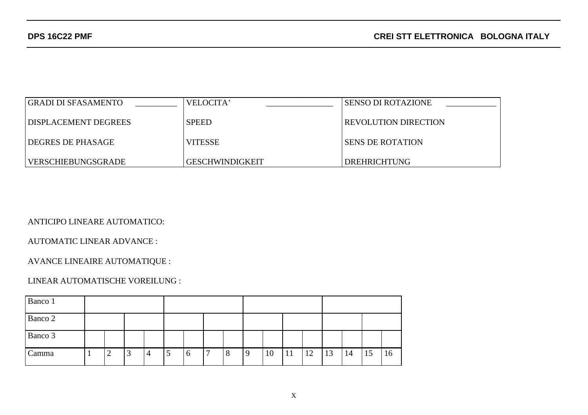| GRADI DI SFASAMENTO  | VELOCITA'              | SENSO DI ROTAZIONE          |
|----------------------|------------------------|-----------------------------|
| DISPLACEMENT DEGREES | <b>SPEED</b>           | <b>REVOLUTION DIRECTION</b> |
| I DEGRES DE PHASAGE  | <b>VITESSE</b>         | I SENS DE ROTATION          |
| VERSCHIEBUNGSGRADE   | <b>GESCHWINDIGKEIT</b> | <b>DREHRICHTUNG</b>         |

ANTICIPO LINEARE AUTOMATICO:

AUTOMATIC LINEAR ADVANCE :

AVANCE LINEAIRE AUTOMATIQUE :

### LINEAR AUTOMATISCHE VOREILUNG :

| Banco 1 |  |        |   |   |               |             |   |         |   |    |    |    |    |    |    |    |
|---------|--|--------|---|---|---------------|-------------|---|---------|---|----|----|----|----|----|----|----|
| Banco 2 |  |        |   |   |               |             |   |         |   |    |    |    |    |    |    |    |
| Banco 3 |  |        |   |   |               |             |   |         |   |    |    |    |    |    |    |    |
| Camma   |  | ി<br>∠ | ر | 4 | $\mathcal{D}$ | $\mathbf b$ | ⇁ | $\circ$ | 9 | 10 | 11 | 12 | 13 | 14 | 15 | 16 |